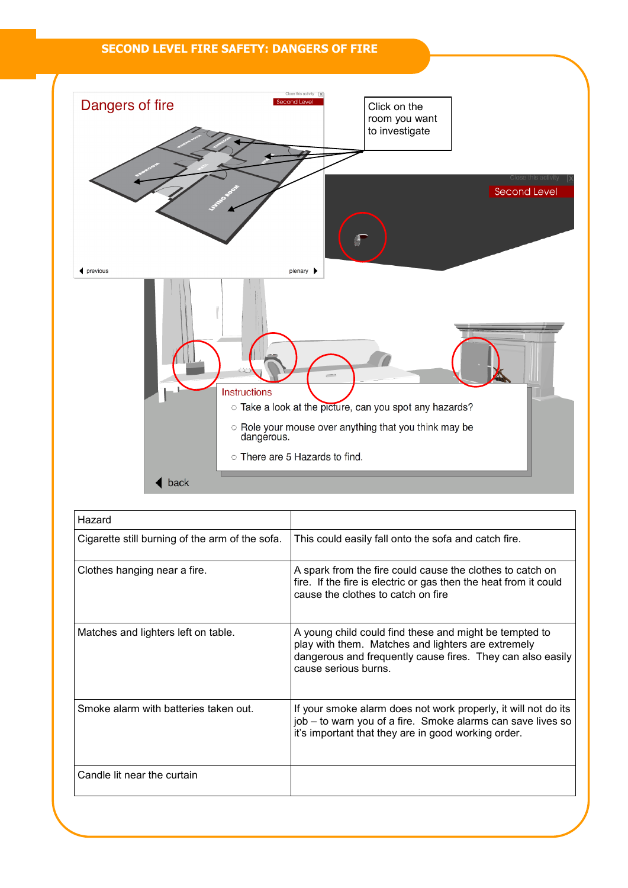## **SECOND LEVEL FIRE SAFETY: DANGERS OF FIRE**



| Hazard                                          |                                                                                                                                                                                                    |
|-------------------------------------------------|----------------------------------------------------------------------------------------------------------------------------------------------------------------------------------------------------|
| Cigarette still burning of the arm of the sofa. | This could easily fall onto the sofa and catch fire.                                                                                                                                               |
| Clothes hanging near a fire.                    | A spark from the fire could cause the clothes to catch on<br>fire. If the fire is electric or gas then the heat from it could<br>cause the clothes to catch on fire                                |
| Matches and lighters left on table.             | A young child could find these and might be tempted to<br>play with them. Matches and lighters are extremely<br>dangerous and frequently cause fires. They can also easily<br>cause serious burns. |
| Smoke alarm with batteries taken out.           | If your smoke alarm does not work properly, it will not do its<br>job – to warn you of a fire. Smoke alarms can save lives so<br>it's important that they are in good working order.               |
| Candle lit near the curtain                     |                                                                                                                                                                                                    |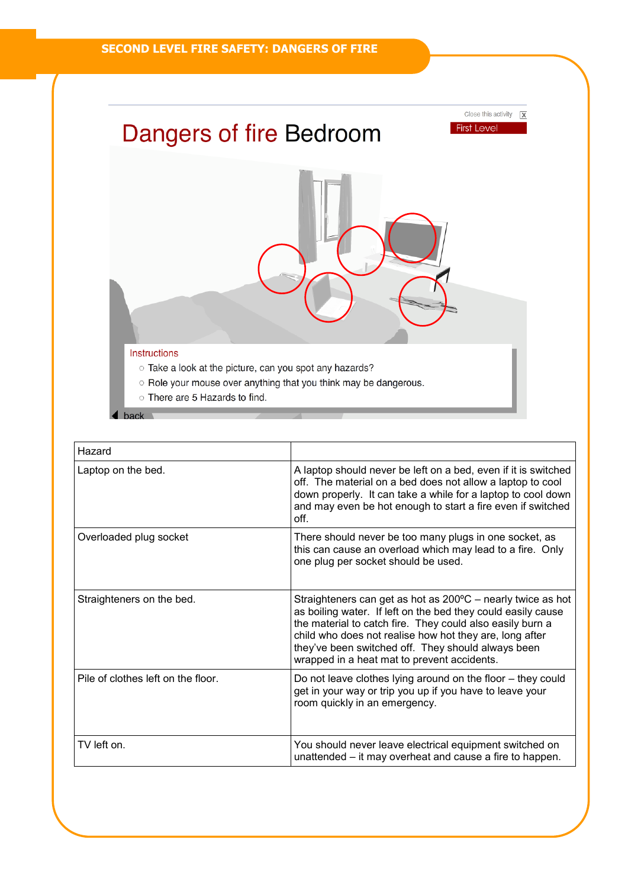

| Hazard                             |                                                                                                                                                                                                                                                                                                                                                                    |
|------------------------------------|--------------------------------------------------------------------------------------------------------------------------------------------------------------------------------------------------------------------------------------------------------------------------------------------------------------------------------------------------------------------|
| Laptop on the bed.                 | A laptop should never be left on a bed, even if it is switched<br>off. The material on a bed does not allow a laptop to cool<br>down properly. It can take a while for a laptop to cool down<br>and may even be hot enough to start a fire even if switched<br>off.                                                                                                |
| Overloaded plug socket             | There should never be too many plugs in one socket, as<br>this can cause an overload which may lead to a fire. Only<br>one plug per socket should be used.                                                                                                                                                                                                         |
| Straighteners on the bed.          | Straighteners can get as hot as $200^{\circ}$ C – nearly twice as hot<br>as boiling water. If left on the bed they could easily cause<br>the material to catch fire. They could also easily burn a<br>child who does not realise how hot they are, long after<br>they've been switched off. They should always been<br>wrapped in a heat mat to prevent accidents. |
| Pile of clothes left on the floor. | Do not leave clothes lying around on the floor – they could<br>get in your way or trip you up if you have to leave your<br>room quickly in an emergency.                                                                                                                                                                                                           |
| TV left on.                        | You should never leave electrical equipment switched on<br>unattended – it may overheat and cause a fire to happen.                                                                                                                                                                                                                                                |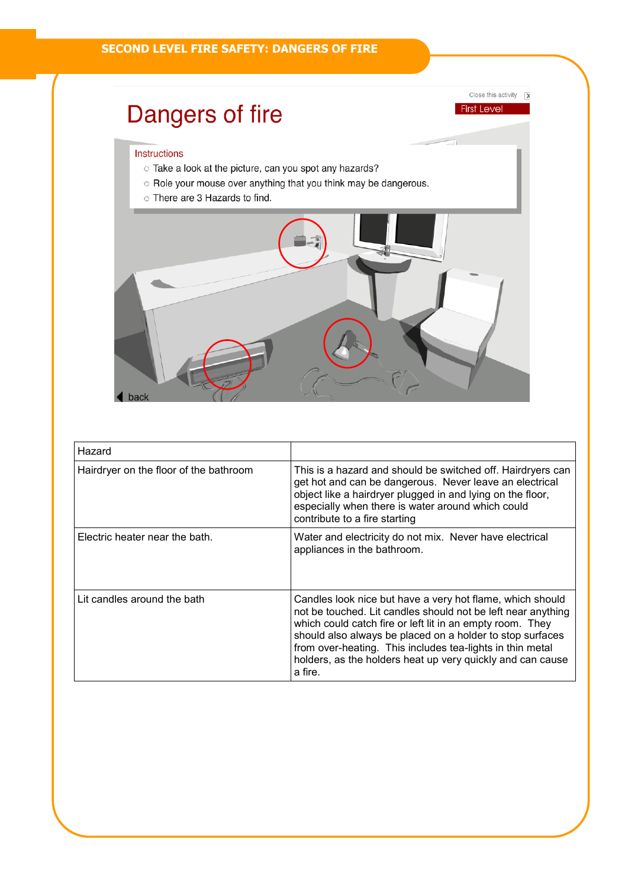## Dangers of fire

## Instructions

- Take a look at the picture, can you spot any hazards?
- O Role your mouse over anything that you think may be dangerous.
- o There are 3 Hazards to find.



Close this activity  $\boxed{\mathbf{X}}$ 

**First Level** 

| Hazard                                 |                                                                                                                                                                                                                                                                                                                                                                                           |
|----------------------------------------|-------------------------------------------------------------------------------------------------------------------------------------------------------------------------------------------------------------------------------------------------------------------------------------------------------------------------------------------------------------------------------------------|
| Hairdryer on the floor of the bathroom | This is a hazard and should be switched off. Hairdryers can<br>get hot and can be dangerous. Never leave an electrical<br>object like a hairdryer plugged in and lying on the floor,<br>especially when there is water around which could<br>contribute to a fire starting                                                                                                                |
| Electric heater near the bath.         | Water and electricity do not mix. Never have electrical<br>appliances in the bathroom.                                                                                                                                                                                                                                                                                                    |
| Lit candles around the bath            | Candles look nice but have a very hot flame, which should<br>not be touched. Lit candles should not be left near anything<br>which could catch fire or left lit in an empty room. They<br>should also always be placed on a holder to stop surfaces<br>from over-heating. This includes tea-lights in thin metal<br>holders, as the holders heat up very quickly and can cause<br>a fire. |